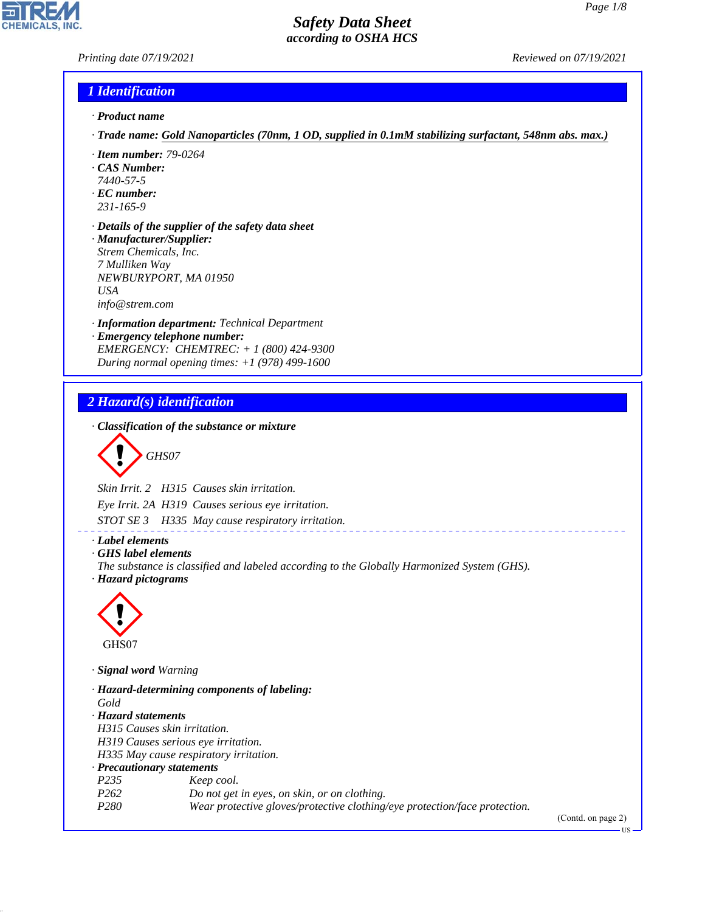## *Printing date 07/19/2021 Reviewed on 07/19/2021*

#### *1 Identification*

- *· Product name*
- *· Trade name: Gold Nanoparticles (70nm, 1 OD, supplied in 0.1mM stabilizing surfactant, 548nm abs. max.)*
- *· Item number: 79-0264*
- *· CAS Number:*
- *7440-57-5*
- *· EC number: 231-165-9*
- 
- *· Details of the supplier of the safety data sheet · Manufacturer/Supplier: Strem Chemicals, Inc. 7 Mulliken Way NEWBURYPORT, MA 01950 USA info@strem.com*
- *· Information department: Technical Department*
- *· Emergency telephone number: EMERGENCY: CHEMTREC: + 1 (800) 424-9300 During normal opening times: +1 (978) 499-1600*

## *2 Hazard(s) identification*

*· Classification of the substance or mixture*

$$
\bigotimes \mathrm{GH}S07
$$

*Skin Irrit. 2 H315 Causes skin irritation.*

*Eye Irrit. 2A H319 Causes serious eye irritation.*

*STOT SE 3 H335 May cause respiratory irritation.*

- *· Label elements*
- *· GHS label elements*
- *The substance is classified and labeled according to the Globally Harmonized System (GHS). · Hazard pictograms*

\_\_\_\_\_\_\_\_\_\_\_\_\_\_\_\_\_\_\_



44.1.1

*· Signal word Warning*

*· Hazard-determining components of labeling: Gold · Hazard statements H315 Causes skin irritation. H319 Causes serious eye irritation. H335 May cause respiratory irritation. · Precautionary statements P235 Keep cool. P262 Do not get in eyes, on skin, or on clothing. P280 Wear protective gloves/protective clothing/eye protection/face protection.*

(Contd. on page 2)

US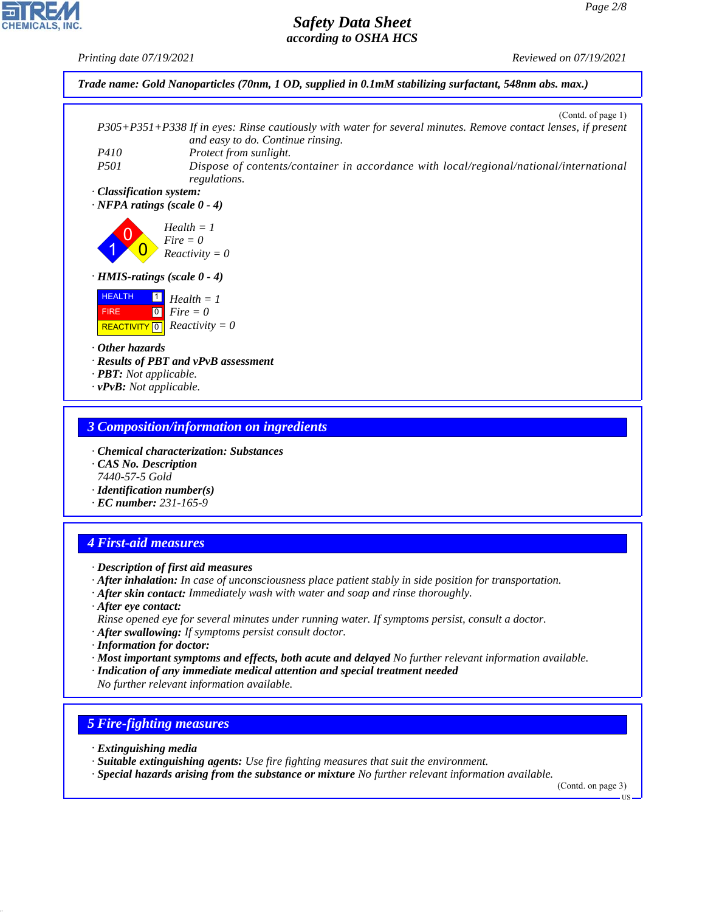*Printing date 07/19/2021 Reviewed on 07/19/2021*



*· vPvB: Not applicable.*

#### *3 Composition/information on ingredients*

- *· Chemical characterization: Substances*
- *· CAS No. Description 7440-57-5 Gold*
- *· Identification number(s)*
- *· EC number: 231-165-9*

# *4 First-aid measures*

- *· Description of first aid measures*
- *· After inhalation: In case of unconsciousness place patient stably in side position for transportation.*
- *· After skin contact: Immediately wash with water and soap and rinse thoroughly.*
- *· After eye contact: Rinse opened eye for several minutes under running water. If symptoms persist, consult a doctor.*
- *· After swallowing: If symptoms persist consult doctor.*
- *· Information for doctor:*
- *· Most important symptoms and effects, both acute and delayed No further relevant information available.*
- *· Indication of any immediate medical attention and special treatment needed No further relevant information available.*

#### *5 Fire-fighting measures*

*· Extinguishing media*

44.1.1

- *· Suitable extinguishing agents: Use fire fighting measures that suit the environment.*
- *· Special hazards arising from the substance or mixture No further relevant information available.*

(Contd. on page 3)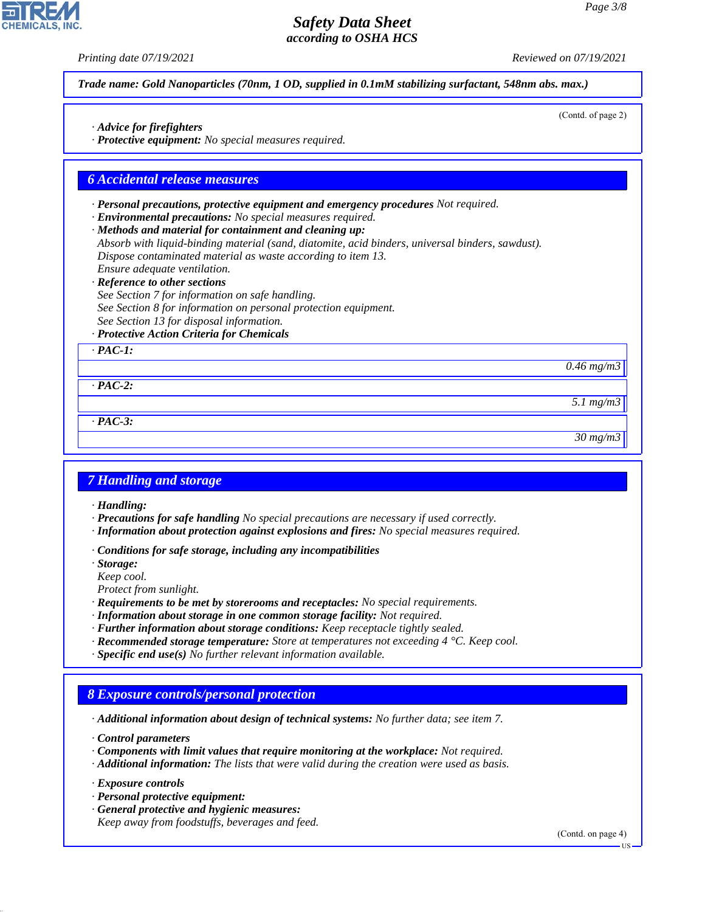*Printing date 07/19/2021 Reviewed on 07/19/2021*

(Contd. of page 2)

*Trade name: Gold Nanoparticles (70nm, 1 OD, supplied in 0.1mM stabilizing surfactant, 548nm abs. max.)*

- *· Advice for firefighters*
- *· Protective equipment: No special measures required.*

#### *6 Accidental release measures*

- *· Personal precautions, protective equipment and emergency procedures Not required.*
- *· Environmental precautions: No special measures required.*
- *· Methods and material for containment and cleaning up:*
- *Absorb with liquid-binding material (sand, diatomite, acid binders, universal binders, sawdust). Dispose contaminated material as waste according to item 13. Ensure adequate ventilation.*
- *· Reference to other sections*
- *See Section 7 for information on safe handling. See Section 8 for information on personal protection equipment. See Section 13 for disposal information.*
- *· Protective Action Criteria for Chemicals*

*· PAC-1:*

*· PAC-2:*

*0.46 mg/m3*

*5.1 mg/m3*

*· PAC-3:*

*30 mg/m3*

#### *7 Handling and storage*

- *· Handling:*
- *· Precautions for safe handling No special precautions are necessary if used correctly.*
- *· Information about protection against explosions and fires: No special measures required.*
- *· Conditions for safe storage, including any incompatibilities*
- *· Storage:*
- *Keep cool.*
- *Protect from sunlight.*
- *· Requirements to be met by storerooms and receptacles: No special requirements.*
- *· Information about storage in one common storage facility: Not required.*
- *· Further information about storage conditions: Keep receptacle tightly sealed.*
- *· Recommended storage temperature: Store at temperatures not exceeding 4 °C. Keep cool.*
- *· Specific end use(s) No further relevant information available.*

#### *8 Exposure controls/personal protection*

*· Additional information about design of technical systems: No further data; see item 7.*

*· Control parameters*

- *· Components with limit values that require monitoring at the workplace: Not required.*
- *· Additional information: The lists that were valid during the creation were used as basis.*

*· Exposure controls*

44.1.1

- *· Personal protective equipment:*
- *· General protective and hygienic measures: Keep away from foodstuffs, beverages and feed.*

(Contd. on page 4)

US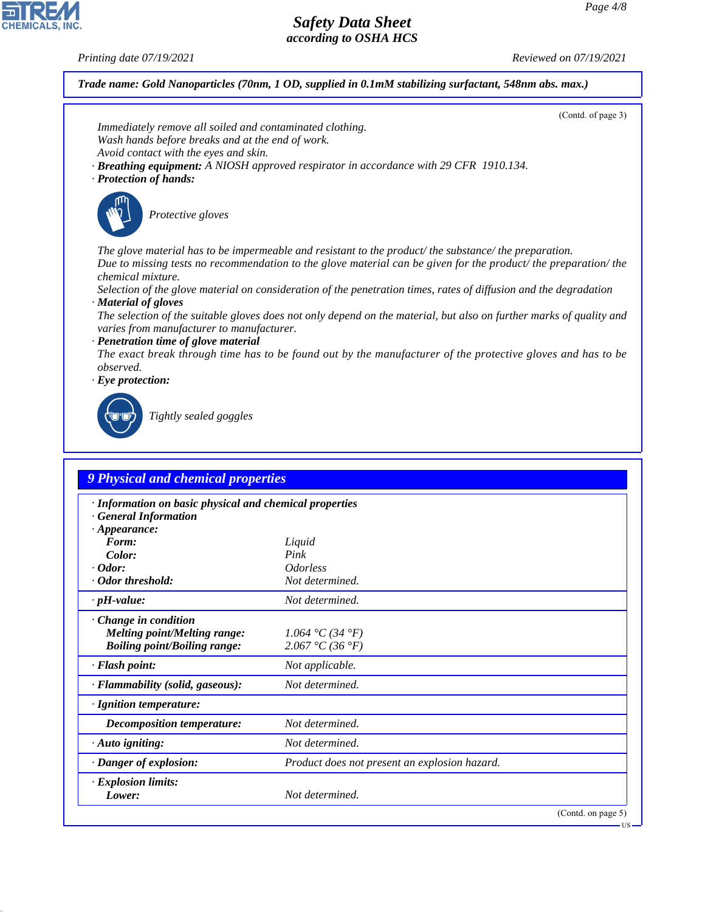*Printing date 07/19/2021 Reviewed on 07/19/2021*

*Trade name: Gold Nanoparticles (70nm, 1 OD, supplied in 0.1mM stabilizing surfactant, 548nm abs. max.)*





44.1.1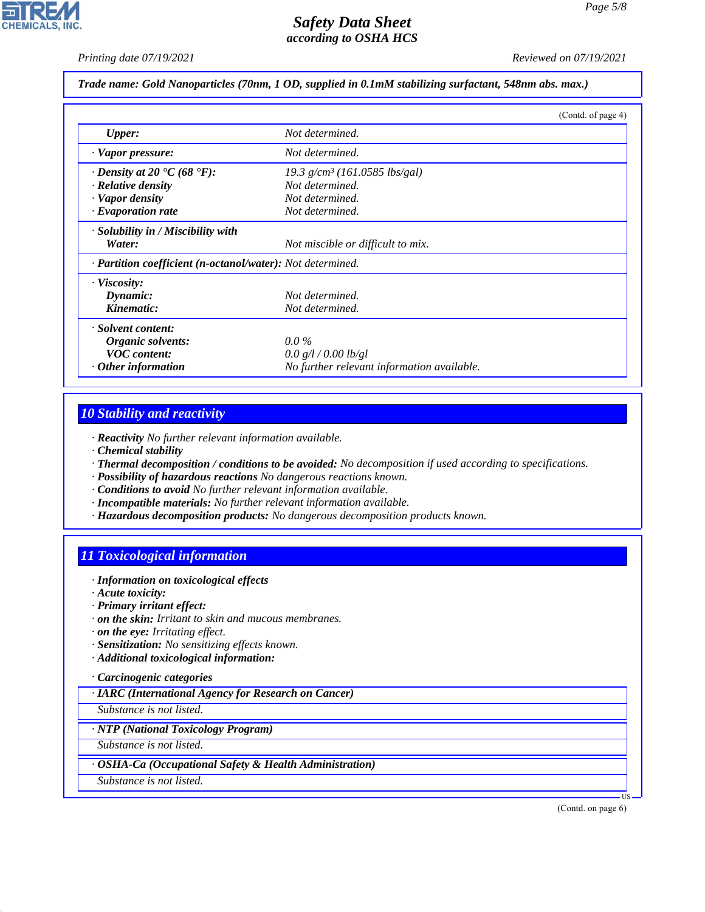*Printing date 07/19/2021 Reviewed on 07/19/2021*

*Trade name: Gold Nanoparticles (70nm, 1 OD, supplied in 0.1mM stabilizing surfactant, 548nm abs. max.)*

|                                                            |                                             | (Contd. of page 4) |
|------------------------------------------------------------|---------------------------------------------|--------------------|
| <b>Upper:</b>                                              | Not determined.                             |                    |
| · Vapor pressure:                                          | Not determined.                             |                    |
| $\cdot$ Density at 20 $\cdot$ C (68 $\cdot$ F):            | $19.3$ g/cm <sup>3</sup> (161.0585 lbs/gal) |                    |
| · Relative density                                         | Not determined.                             |                    |
| · Vapor density                                            | Not determined.                             |                    |
| $\cdot$ Evaporation rate                                   | Not determined.                             |                    |
| $\cdot$ Solubility in / Miscibility with                   |                                             |                    |
| Water:                                                     | Not miscible or difficult to mix.           |                    |
| · Partition coefficient (n-octanol/water): Not determined. |                                             |                    |
| $\cdot$ Viscosity:                                         |                                             |                    |
| Dynamic:                                                   | Not determined.                             |                    |
| Kinematic:                                                 | Not determined.                             |                    |
| · Solvent content:                                         |                                             |                    |
| Organic solvents:                                          | $0.0\,\%$                                   |                    |
| <b>VOC</b> content:                                        | 0.0 g/l / 0.00 lb/gl                        |                    |
| $\cdot$ Other information                                  | No further relevant information available.  |                    |

## *10 Stability and reactivity*

*· Reactivity No further relevant information available.*

- *· Chemical stability*
- *· Thermal decomposition / conditions to be avoided: No decomposition if used according to specifications.*
- *· Possibility of hazardous reactions No dangerous reactions known.*
- *· Conditions to avoid No further relevant information available.*
- *· Incompatible materials: No further relevant information available.*
- *· Hazardous decomposition products: No dangerous decomposition products known.*

# *11 Toxicological information*

- *· Information on toxicological effects*
- *· Acute toxicity:*
- *· Primary irritant effect:*
- *· on the skin: Irritant to skin and mucous membranes.*
- *· on the eye: Irritating effect.*
- *· Sensitization: No sensitizing effects known.*
- *· Additional toxicological information:*

## *· Carcinogenic categories*

*· IARC (International Agency for Research on Cancer)*

*Substance is not listed.*

## *· NTP (National Toxicology Program)*

*Substance is not listed.*

#### *· OSHA-Ca (Occupational Safety & Health Administration)*

*Substance is not listed.*

44.1.1

(Contd. on page 6)

US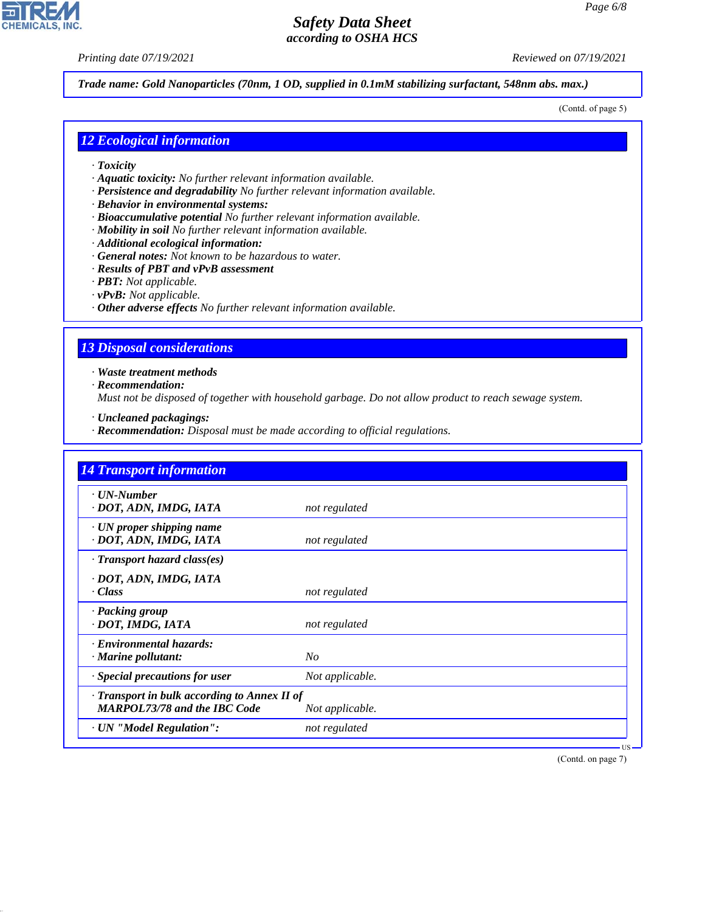*Printing date 07/19/2021 Reviewed on 07/19/2021*

**CHEMICALS, INC** 

*Trade name: Gold Nanoparticles (70nm, 1 OD, supplied in 0.1mM stabilizing surfactant, 548nm abs. max.)*

(Contd. of page 5)

### *12 Ecological information*

- *· Toxicity*
- *· Aquatic toxicity: No further relevant information available.*
- *· Persistence and degradability No further relevant information available.*
- *· Behavior in environmental systems:*
- *· Bioaccumulative potential No further relevant information available.*
- *· Mobility in soil No further relevant information available.*
- *· Additional ecological information:*
- *· General notes: Not known to be hazardous to water.*
- *· Results of PBT and vPvB assessment*
- *· PBT: Not applicable.*
- *· vPvB: Not applicable.*
- *· Other adverse effects No further relevant information available.*

#### *13 Disposal considerations*

*· Waste treatment methods*

*· Recommendation:*

44.1.1

*Must not be disposed of together with household garbage. Do not allow product to reach sewage system.*

- *· Uncleaned packagings:*
- *· Recommendation: Disposal must be made according to official regulations.*

| <b>14 Transport information</b>                                                           |                 |
|-------------------------------------------------------------------------------------------|-----------------|
| $\cdot$ UN-Number<br>· DOT, ADN, IMDG, IATA                                               | not regulated   |
| $\cdot$ UN proper shipping name<br>· DOT, ADN, IMDG, IATA                                 | not regulated   |
| $\cdot$ Transport hazard class(es)                                                        |                 |
| · DOT, ADN, IMDG, IATA<br>· Class                                                         | not regulated   |
| · Packing group<br>· DOT, IMDG, IATA                                                      | not regulated   |
| · Environmental hazards:<br>$\cdot$ Marine pollutant:                                     | No              |
| Special precautions for user                                                              | Not applicable. |
| $\cdot$ Transport in bulk according to Annex II of<br><b>MARPOL73/78 and the IBC Code</b> | Not applicable. |
| · UN "Model Regulation":                                                                  | not regulated   |

(Contd. on page 7)

US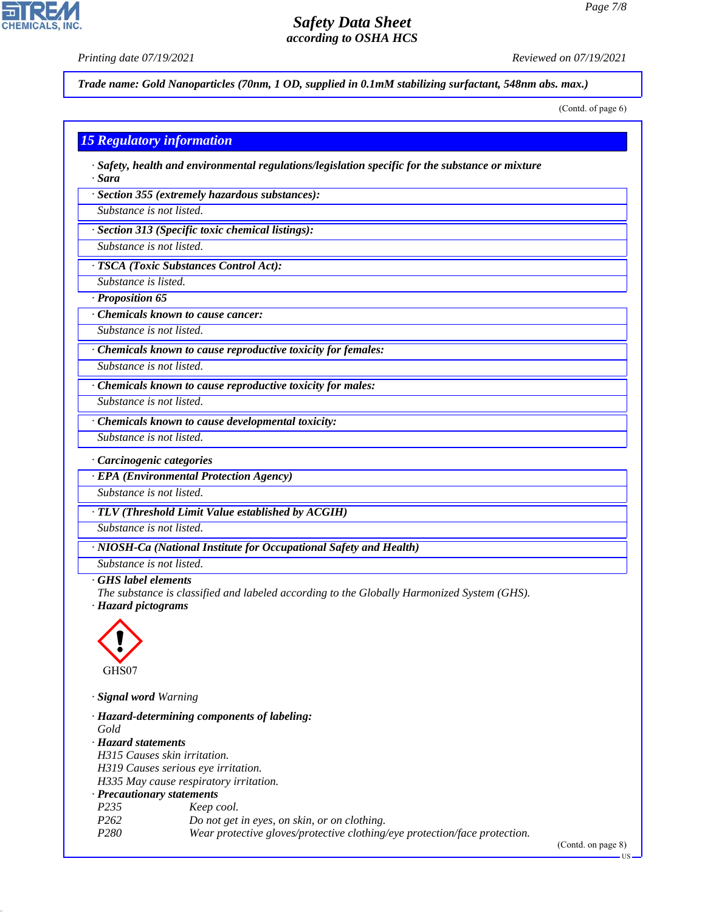*Printing date 07/19/2021 Reviewed on 07/19/2021*

**CHEMICALS.** 

*Trade name: Gold Nanoparticles (70nm, 1 OD, supplied in 0.1mM stabilizing surfactant, 548nm abs. max.)*

(Contd. of page 6)

### *15 Regulatory information*

*· Safety, health and environmental regulations/legislation specific for the substance or mixture · Sara*

*· Section 355 (extremely hazardous substances):*

*Substance is not listed.*

*· Section 313 (Specific toxic chemical listings):*

*Substance is not listed.*

*· TSCA (Toxic Substances Control Act):*

*Substance is listed.*

*· Proposition 65*

*· Chemicals known to cause cancer:*

*Substance is not listed.*

*· Chemicals known to cause reproductive toxicity for females:*

*Substance is not listed.*

*· Chemicals known to cause reproductive toxicity for males:*

*Substance is not listed.*

*· Chemicals known to cause developmental toxicity:*

*Substance is not listed.*

*· Carcinogenic categories*

*· EPA (Environmental Protection Agency)*

*Substance is not listed.*

*· TLV (Threshold Limit Value established by ACGIH)*

*Substance is not listed.*

*· NIOSH-Ca (National Institute for Occupational Safety and Health)*

*Substance is not listed.*

*· GHS label elements*

*The substance is classified and labeled according to the Globally Harmonized System (GHS). · Hazard pictograms*



44.1.1

*· Signal word Warning*

|                                     | · Hazard-determining components of labeling:                               |  |
|-------------------------------------|----------------------------------------------------------------------------|--|
| Gold                                |                                                                            |  |
| · Hazard statements                 |                                                                            |  |
| H315 Causes skin irritation.        |                                                                            |  |
| H319 Causes serious eye irritation. |                                                                            |  |
|                                     | H335 May cause respiratory irritation.                                     |  |
| · Precautionary statements          |                                                                            |  |
| P <sub>235</sub>                    | Keep cool.                                                                 |  |
| P <sub>262</sub>                    | Do not get in eyes, on skin, or on clothing.                               |  |
| P280                                | Wear protective gloves/protective clothing/eye protection/face protection. |  |

(Contd. on page 8)

US